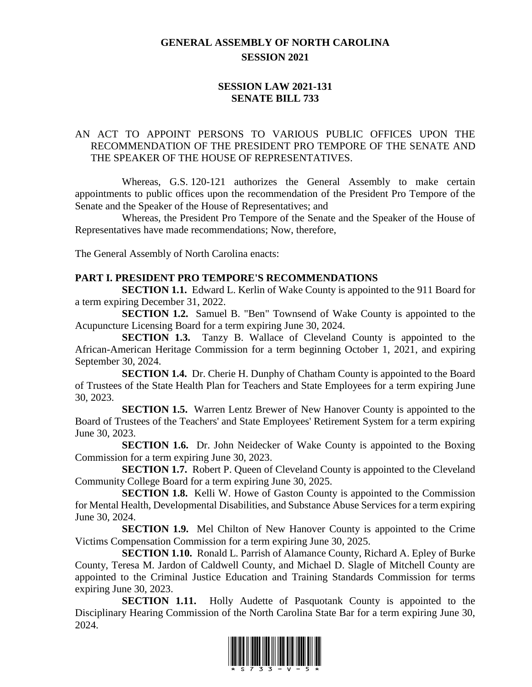## **GENERAL ASSEMBLY OF NORTH CAROLINA SESSION 2021**

## **SESSION LAW 2021-131 SENATE BILL 733**

## AN ACT TO APPOINT PERSONS TO VARIOUS PUBLIC OFFICES UPON THE RECOMMENDATION OF THE PRESIDENT PRO TEMPORE OF THE SENATE AND THE SPEAKER OF THE HOUSE OF REPRESENTATIVES.

Whereas, G.S. 120-121 authorizes the General Assembly to make certain appointments to public offices upon the recommendation of the President Pro Tempore of the Senate and the Speaker of the House of Representatives; and

Whereas, the President Pro Tempore of the Senate and the Speaker of the House of Representatives have made recommendations; Now, therefore,

The General Assembly of North Carolina enacts:

#### **PART I. PRESIDENT PRO TEMPORE'S RECOMMENDATIONS**

**SECTION 1.1.** Edward L. Kerlin of Wake County is appointed to the 911 Board for a term expiring December 31, 2022.

**SECTION 1.2.** Samuel B. "Ben" Townsend of Wake County is appointed to the Acupuncture Licensing Board for a term expiring June 30, 2024.

**SECTION 1.3.** Tanzy B. Wallace of Cleveland County is appointed to the African-American Heritage Commission for a term beginning October 1, 2021, and expiring September 30, 2024.

**SECTION 1.4.** Dr. Cherie H. Dunphy of Chatham County is appointed to the Board of Trustees of the State Health Plan for Teachers and State Employees for a term expiring June 30, 2023.

**SECTION 1.5.** Warren Lentz Brewer of New Hanover County is appointed to the Board of Trustees of the Teachers' and State Employees' Retirement System for a term expiring June 30, 2023.

**SECTION 1.6.** Dr. John Neidecker of Wake County is appointed to the Boxing Commission for a term expiring June 30, 2023.

**SECTION 1.7.** Robert P. Queen of Cleveland County is appointed to the Cleveland Community College Board for a term expiring June 30, 2025.

**SECTION 1.8.** Kelli W. Howe of Gaston County is appointed to the Commission for Mental Health, Developmental Disabilities, and Substance Abuse Services for a term expiring June 30, 2024.

**SECTION 1.9.** Mel Chilton of New Hanover County is appointed to the Crime Victims Compensation Commission for a term expiring June 30, 2025.

**SECTION 1.10.** Ronald L. Parrish of Alamance County, Richard A. Epley of Burke County, Teresa M. Jardon of Caldwell County, and Michael D. Slagle of Mitchell County are appointed to the Criminal Justice Education and Training Standards Commission for terms expiring June 30, 2023.

**SECTION 1.11.** Holly Audette of Pasquotank County is appointed to the Disciplinary Hearing Commission of the North Carolina State Bar for a term expiring June 30, 2024.

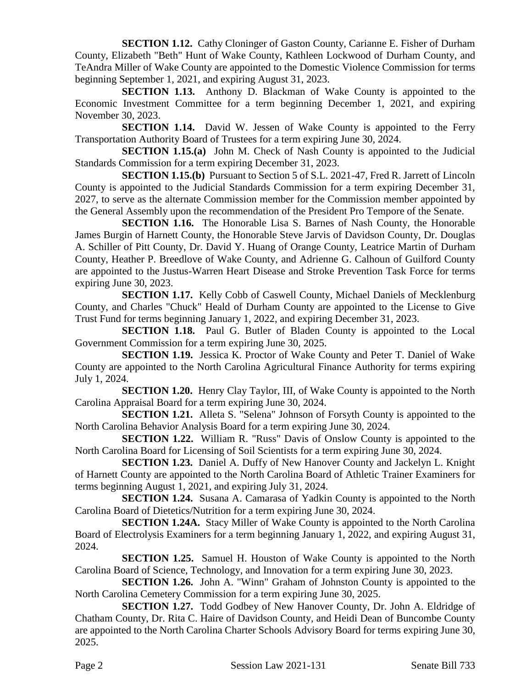**SECTION 1.12.** Cathy Cloninger of Gaston County, Carianne E. Fisher of Durham County, Elizabeth "Beth" Hunt of Wake County, Kathleen Lockwood of Durham County, and TeAndra Miller of Wake County are appointed to the Domestic Violence Commission for terms beginning September 1, 2021, and expiring August 31, 2023.

**SECTION 1.13.** Anthony D. Blackman of Wake County is appointed to the Economic Investment Committee for a term beginning December 1, 2021, and expiring November 30, 2023.

**SECTION 1.14.** David W. Jessen of Wake County is appointed to the Ferry Transportation Authority Board of Trustees for a term expiring June 30, 2024.

**SECTION 1.15.(a)** John M. Check of Nash County is appointed to the Judicial Standards Commission for a term expiring December 31, 2023.

**SECTION 1.15.(b)** Pursuant to Section 5 of S.L. 2021-47, Fred R. Jarrett of Lincoln County is appointed to the Judicial Standards Commission for a term expiring December 31, 2027, to serve as the alternate Commission member for the Commission member appointed by the General Assembly upon the recommendation of the President Pro Tempore of the Senate.

**SECTION 1.16.** The Honorable Lisa S. Barnes of Nash County, the Honorable James Burgin of Harnett County, the Honorable Steve Jarvis of Davidson County, Dr. Douglas A. Schiller of Pitt County, Dr. David Y. Huang of Orange County, Leatrice Martin of Durham County, Heather P. Breedlove of Wake County, and Adrienne G. Calhoun of Guilford County are appointed to the Justus-Warren Heart Disease and Stroke Prevention Task Force for terms expiring June 30, 2023.

**SECTION 1.17.** Kelly Cobb of Caswell County, Michael Daniels of Mecklenburg County, and Charles "Chuck" Heald of Durham County are appointed to the License to Give Trust Fund for terms beginning January 1, 2022, and expiring December 31, 2023.

**SECTION 1.18.** Paul G. Butler of Bladen County is appointed to the Local Government Commission for a term expiring June 30, 2025.

**SECTION 1.19.** Jessica K. Proctor of Wake County and Peter T. Daniel of Wake County are appointed to the North Carolina Agricultural Finance Authority for terms expiring July 1, 2024.

**SECTION 1.20.** Henry Clay Taylor, III, of Wake County is appointed to the North Carolina Appraisal Board for a term expiring June 30, 2024.

**SECTION 1.21.** Alleta S. "Selena" Johnson of Forsyth County is appointed to the North Carolina Behavior Analysis Board for a term expiring June 30, 2024.

**SECTION 1.22.** William R. "Russ" Davis of Onslow County is appointed to the North Carolina Board for Licensing of Soil Scientists for a term expiring June 30, 2024.

**SECTION 1.23.** Daniel A. Duffy of New Hanover County and Jackelyn L. Knight of Harnett County are appointed to the North Carolina Board of Athletic Trainer Examiners for terms beginning August 1, 2021, and expiring July 31, 2024.

**SECTION 1.24.** Susana A. Camarasa of Yadkin County is appointed to the North Carolina Board of Dietetics/Nutrition for a term expiring June 30, 2024.

**SECTION 1.24A.** Stacy Miller of Wake County is appointed to the North Carolina Board of Electrolysis Examiners for a term beginning January 1, 2022, and expiring August 31, 2024.

**SECTION 1.25.** Samuel H. Houston of Wake County is appointed to the North Carolina Board of Science, Technology, and Innovation for a term expiring June 30, 2023.

**SECTION 1.26.** John A. "Winn" Graham of Johnston County is appointed to the North Carolina Cemetery Commission for a term expiring June 30, 2025.

**SECTION 1.27.** Todd Godbey of New Hanover County, Dr. John A. Eldridge of Chatham County, Dr. Rita C. Haire of Davidson County, and Heidi Dean of Buncombe County are appointed to the North Carolina Charter Schools Advisory Board for terms expiring June 30, 2025.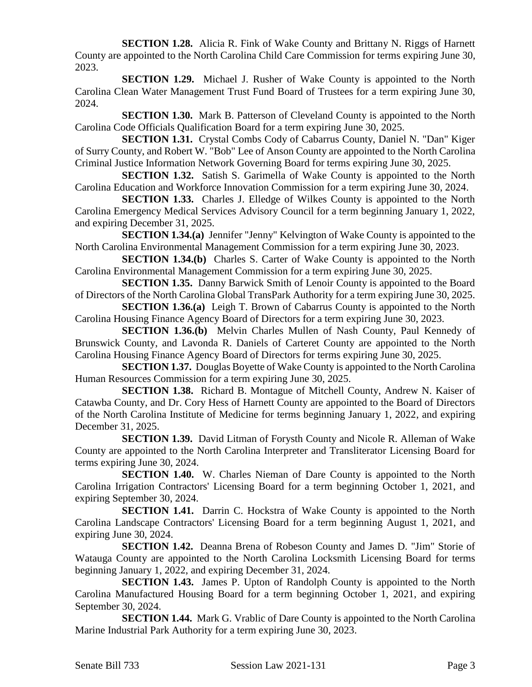**SECTION 1.28.** Alicia R. Fink of Wake County and Brittany N. Riggs of Harnett County are appointed to the North Carolina Child Care Commission for terms expiring June 30, 2023.

**SECTION 1.29.** Michael J. Rusher of Wake County is appointed to the North Carolina Clean Water Management Trust Fund Board of Trustees for a term expiring June 30, 2024.

**SECTION 1.30.** Mark B. Patterson of Cleveland County is appointed to the North Carolina Code Officials Qualification Board for a term expiring June 30, 2025.

**SECTION 1.31.** Crystal Combs Cody of Cabarrus County, Daniel N. "Dan" Kiger of Surry County, and Robert W. "Bob" Lee of Anson County are appointed to the North Carolina Criminal Justice Information Network Governing Board for terms expiring June 30, 2025.

**SECTION 1.32.** Satish S. Garimella of Wake County is appointed to the North Carolina Education and Workforce Innovation Commission for a term expiring June 30, 2024.

**SECTION 1.33.** Charles J. Elledge of Wilkes County is appointed to the North Carolina Emergency Medical Services Advisory Council for a term beginning January 1, 2022, and expiring December 31, 2025.

**SECTION 1.34.(a)** Jennifer "Jenny" Kelvington of Wake County is appointed to the North Carolina Environmental Management Commission for a term expiring June 30, 2023.

**SECTION 1.34.(b)** Charles S. Carter of Wake County is appointed to the North Carolina Environmental Management Commission for a term expiring June 30, 2025.

**SECTION 1.35.** Danny Barwick Smith of Lenoir County is appointed to the Board of Directors of the North Carolina Global TransPark Authority for a term expiring June 30, 2025.

**SECTION 1.36.(a)** Leigh T. Brown of Cabarrus County is appointed to the North Carolina Housing Finance Agency Board of Directors for a term expiring June 30, 2023.

**SECTION 1.36.(b)** Melvin Charles Mullen of Nash County, Paul Kennedy of Brunswick County, and Lavonda R. Daniels of Carteret County are appointed to the North Carolina Housing Finance Agency Board of Directors for terms expiring June 30, 2025.

**SECTION 1.37.** Douglas Boyette of Wake County is appointed to the North Carolina Human Resources Commission for a term expiring June 30, 2025.

**SECTION 1.38.** Richard B. Montague of Mitchell County, Andrew N. Kaiser of Catawba County, and Dr. Cory Hess of Harnett County are appointed to the Board of Directors of the North Carolina Institute of Medicine for terms beginning January 1, 2022, and expiring December 31, 2025.

**SECTION 1.39.** David Litman of Forysth County and Nicole R. Alleman of Wake County are appointed to the North Carolina Interpreter and Transliterator Licensing Board for terms expiring June 30, 2024.

**SECTION 1.40.** W. Charles Nieman of Dare County is appointed to the North Carolina Irrigation Contractors' Licensing Board for a term beginning October 1, 2021, and expiring September 30, 2024.

**SECTION 1.41.** Darrin C. Hockstra of Wake County is appointed to the North Carolina Landscape Contractors' Licensing Board for a term beginning August 1, 2021, and expiring June 30, 2024.

**SECTION 1.42.** Deanna Brena of Robeson County and James D. "Jim" Storie of Watauga County are appointed to the North Carolina Locksmith Licensing Board for terms beginning January 1, 2022, and expiring December 31, 2024.

**SECTION 1.43.** James P. Upton of Randolph County is appointed to the North Carolina Manufactured Housing Board for a term beginning October 1, 2021, and expiring September 30, 2024.

**SECTION 1.44.** Mark G. Vrablic of Dare County is appointed to the North Carolina Marine Industrial Park Authority for a term expiring June 30, 2023.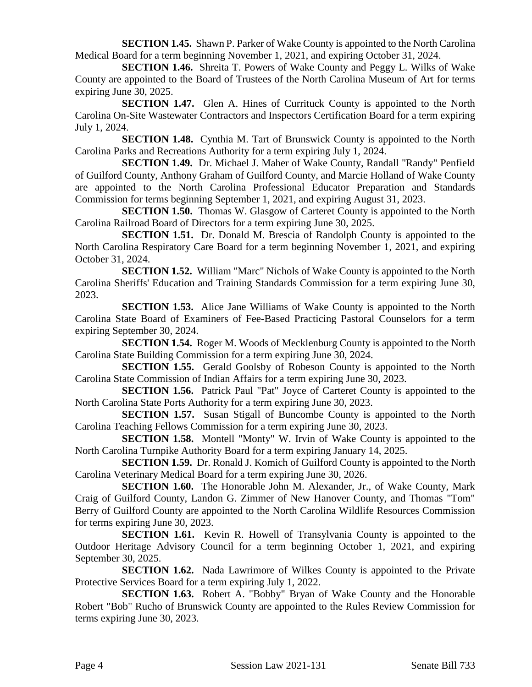**SECTION 1.45.** Shawn P. Parker of Wake County is appointed to the North Carolina Medical Board for a term beginning November 1, 2021, and expiring October 31, 2024.

**SECTION 1.46.** Shreita T. Powers of Wake County and Peggy L. Wilks of Wake County are appointed to the Board of Trustees of the North Carolina Museum of Art for terms expiring June 30, 2025.

**SECTION 1.47.** Glen A. Hines of Currituck County is appointed to the North Carolina On-Site Wastewater Contractors and Inspectors Certification Board for a term expiring July 1, 2024.

**SECTION 1.48.** Cynthia M. Tart of Brunswick County is appointed to the North Carolina Parks and Recreations Authority for a term expiring July 1, 2024.

**SECTION 1.49.** Dr. Michael J. Maher of Wake County, Randall "Randy" Penfield of Guilford County, Anthony Graham of Guilford County, and Marcie Holland of Wake County are appointed to the North Carolina Professional Educator Preparation and Standards Commission for terms beginning September 1, 2021, and expiring August 31, 2023.

**SECTION 1.50.** Thomas W. Glasgow of Carteret County is appointed to the North Carolina Railroad Board of Directors for a term expiring June 30, 2025.

**SECTION 1.51.** Dr. Donald M. Brescia of Randolph County is appointed to the North Carolina Respiratory Care Board for a term beginning November 1, 2021, and expiring October 31, 2024.

**SECTION 1.52.** William "Marc" Nichols of Wake County is appointed to the North Carolina Sheriffs' Education and Training Standards Commission for a term expiring June 30, 2023.

**SECTION 1.53.** Alice Jane Williams of Wake County is appointed to the North Carolina State Board of Examiners of Fee-Based Practicing Pastoral Counselors for a term expiring September 30, 2024.

**SECTION 1.54.** Roger M. Woods of Mecklenburg County is appointed to the North Carolina State Building Commission for a term expiring June 30, 2024.

**SECTION 1.55.** Gerald Goolsby of Robeson County is appointed to the North Carolina State Commission of Indian Affairs for a term expiring June 30, 2023.

**SECTION 1.56.** Patrick Paul "Pat" Joyce of Carteret County is appointed to the North Carolina State Ports Authority for a term expiring June 30, 2023.

**SECTION 1.57.** Susan Stigall of Buncombe County is appointed to the North Carolina Teaching Fellows Commission for a term expiring June 30, 2023.

**SECTION 1.58.** Montell "Monty" W. Irvin of Wake County is appointed to the North Carolina Turnpike Authority Board for a term expiring January 14, 2025.

**SECTION 1.59.** Dr. Ronald J. Komich of Guilford County is appointed to the North Carolina Veterinary Medical Board for a term expiring June 30, 2026.

**SECTION 1.60.** The Honorable John M. Alexander, Jr., of Wake County, Mark Craig of Guilford County, Landon G. Zimmer of New Hanover County, and Thomas "Tom" Berry of Guilford County are appointed to the North Carolina Wildlife Resources Commission for terms expiring June 30, 2023.

**SECTION 1.61.** Kevin R. Howell of Transylvania County is appointed to the Outdoor Heritage Advisory Council for a term beginning October 1, 2021, and expiring September 30, 2025.

**SECTION 1.62.** Nada Lawrimore of Wilkes County is appointed to the Private Protective Services Board for a term expiring July 1, 2022.

**SECTION 1.63.** Robert A. "Bobby" Bryan of Wake County and the Honorable Robert "Bob" Rucho of Brunswick County are appointed to the Rules Review Commission for terms expiring June 30, 2023.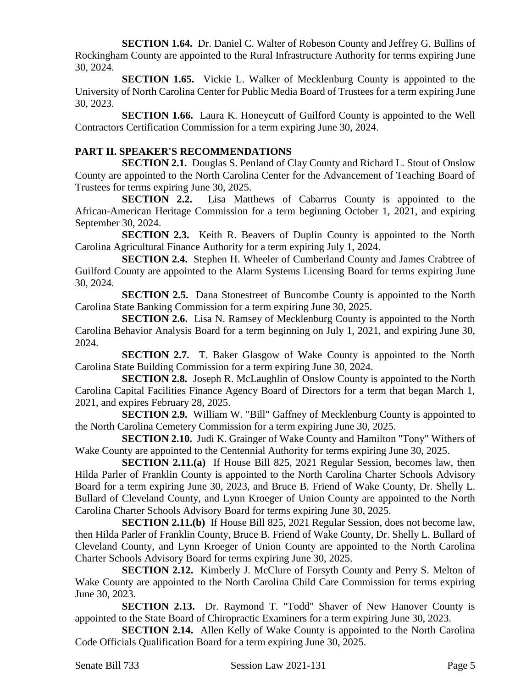**SECTION 1.64.** Dr. Daniel C. Walter of Robeson County and Jeffrey G. Bullins of Rockingham County are appointed to the Rural Infrastructure Authority for terms expiring June 30, 2024.

**SECTION 1.65.** Vickie L. Walker of Mecklenburg County is appointed to the University of North Carolina Center for Public Media Board of Trustees for a term expiring June 30, 2023.

**SECTION 1.66.** Laura K. Honeycutt of Guilford County is appointed to the Well Contractors Certification Commission for a term expiring June 30, 2024.

#### **PART II. SPEAKER'S RECOMMENDATIONS**

**SECTION 2.1.** Douglas S. Penland of Clay County and Richard L. Stout of Onslow County are appointed to the North Carolina Center for the Advancement of Teaching Board of Trustees for terms expiring June 30, 2025.

**SECTION 2.2.** Lisa Matthews of Cabarrus County is appointed to the African-American Heritage Commission for a term beginning October 1, 2021, and expiring September 30, 2024.

**SECTION 2.3.** Keith R. Beavers of Duplin County is appointed to the North Carolina Agricultural Finance Authority for a term expiring July 1, 2024.

**SECTION 2.4.** Stephen H. Wheeler of Cumberland County and James Crabtree of Guilford County are appointed to the Alarm Systems Licensing Board for terms expiring June 30, 2024.

**SECTION 2.5.** Dana Stonestreet of Buncombe County is appointed to the North Carolina State Banking Commission for a term expiring June 30, 2025.

**SECTION 2.6.** Lisa N. Ramsey of Mecklenburg County is appointed to the North Carolina Behavior Analysis Board for a term beginning on July 1, 2021, and expiring June 30, 2024.

**SECTION 2.7.** T. Baker Glasgow of Wake County is appointed to the North Carolina State Building Commission for a term expiring June 30, 2024.

**SECTION 2.8.** Joseph R. McLaughlin of Onslow County is appointed to the North Carolina Capital Facilities Finance Agency Board of Directors for a term that began March 1, 2021, and expires February 28, 2025.

**SECTION 2.9.** William W. "Bill" Gaffney of Mecklenburg County is appointed to the North Carolina Cemetery Commission for a term expiring June 30, 2025.

**SECTION 2.10.** Judi K. Grainger of Wake County and Hamilton "Tony" Withers of Wake County are appointed to the Centennial Authority for terms expiring June 30, 2025.

**SECTION 2.11.(a)** If House Bill 825, 2021 Regular Session, becomes law, then Hilda Parler of Franklin County is appointed to the North Carolina Charter Schools Advisory Board for a term expiring June 30, 2023, and Bruce B. Friend of Wake County, Dr. Shelly L. Bullard of Cleveland County, and Lynn Kroeger of Union County are appointed to the North Carolina Charter Schools Advisory Board for terms expiring June 30, 2025.

**SECTION 2.11.(b)** If House Bill 825, 2021 Regular Session, does not become law, then Hilda Parler of Franklin County, Bruce B. Friend of Wake County, Dr. Shelly L. Bullard of Cleveland County, and Lynn Kroeger of Union County are appointed to the North Carolina Charter Schools Advisory Board for terms expiring June 30, 2025.

**SECTION 2.12.** Kimberly J. McClure of Forsyth County and Perry S. Melton of Wake County are appointed to the North Carolina Child Care Commission for terms expiring June 30, 2023.

**SECTION 2.13.** Dr. Raymond T. "Todd" Shaver of New Hanover County is appointed to the State Board of Chiropractic Examiners for a term expiring June 30, 2023.

**SECTION 2.14.** Allen Kelly of Wake County is appointed to the North Carolina Code Officials Qualification Board for a term expiring June 30, 2025.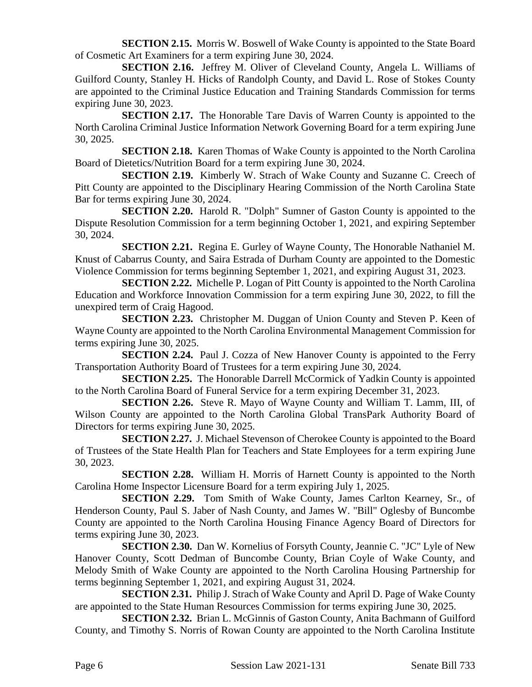**SECTION 2.15.** Morris W. Boswell of Wake County is appointed to the State Board of Cosmetic Art Examiners for a term expiring June 30, 2024.

**SECTION 2.16.** Jeffrey M. Oliver of Cleveland County, Angela L. Williams of Guilford County, Stanley H. Hicks of Randolph County, and David L. Rose of Stokes County are appointed to the Criminal Justice Education and Training Standards Commission for terms expiring June 30, 2023.

**SECTION 2.17.** The Honorable Tare Davis of Warren County is appointed to the North Carolina Criminal Justice Information Network Governing Board for a term expiring June 30, 2025.

**SECTION 2.18.** Karen Thomas of Wake County is appointed to the North Carolina Board of Dietetics/Nutrition Board for a term expiring June 30, 2024.

**SECTION 2.19.** Kimberly W. Strach of Wake County and Suzanne C. Creech of Pitt County are appointed to the Disciplinary Hearing Commission of the North Carolina State Bar for terms expiring June 30, 2024.

**SECTION 2.20.** Harold R. "Dolph" Sumner of Gaston County is appointed to the Dispute Resolution Commission for a term beginning October 1, 2021, and expiring September 30, 2024.

**SECTION 2.21.** Regina E. Gurley of Wayne County, The Honorable Nathaniel M. Knust of Cabarrus County, and Saira Estrada of Durham County are appointed to the Domestic Violence Commission for terms beginning September 1, 2021, and expiring August 31, 2023.

**SECTION 2.22.** Michelle P. Logan of Pitt County is appointed to the North Carolina Education and Workforce Innovation Commission for a term expiring June 30, 2022, to fill the unexpired term of Craig Hagood.

**SECTION 2.23.** Christopher M. Duggan of Union County and Steven P. Keen of Wayne County are appointed to the North Carolina Environmental Management Commission for terms expiring June 30, 2025.

**SECTION 2.24.** Paul J. Cozza of New Hanover County is appointed to the Ferry Transportation Authority Board of Trustees for a term expiring June 30, 2024.

**SECTION 2.25.** The Honorable Darrell McCormick of Yadkin County is appointed to the North Carolina Board of Funeral Service for a term expiring December 31, 2023.

**SECTION 2.26.** Steve R. Mayo of Wayne County and William T. Lamm, III, of Wilson County are appointed to the North Carolina Global TransPark Authority Board of Directors for terms expiring June 30, 2025.

**SECTION 2.27.** J. Michael Stevenson of Cherokee County is appointed to the Board of Trustees of the State Health Plan for Teachers and State Employees for a term expiring June 30, 2023.

**SECTION 2.28.** William H. Morris of Harnett County is appointed to the North Carolina Home Inspector Licensure Board for a term expiring July 1, 2025.

**SECTION 2.29.** Tom Smith of Wake County, James Carlton Kearney, Sr., of Henderson County, Paul S. Jaber of Nash County, and James W. "Bill" Oglesby of Buncombe County are appointed to the North Carolina Housing Finance Agency Board of Directors for terms expiring June 30, 2023.

**SECTION 2.30.** Dan W. Kornelius of Forsyth County, Jeannie C. "JC" Lyle of New Hanover County, Scott Dedman of Buncombe County, Brian Coyle of Wake County, and Melody Smith of Wake County are appointed to the North Carolina Housing Partnership for terms beginning September 1, 2021, and expiring August 31, 2024.

**SECTION 2.31.** Philip J. Strach of Wake County and April D. Page of Wake County are appointed to the State Human Resources Commission for terms expiring June 30, 2025.

**SECTION 2.32.** Brian L. McGinnis of Gaston County, Anita Bachmann of Guilford County, and Timothy S. Norris of Rowan County are appointed to the North Carolina Institute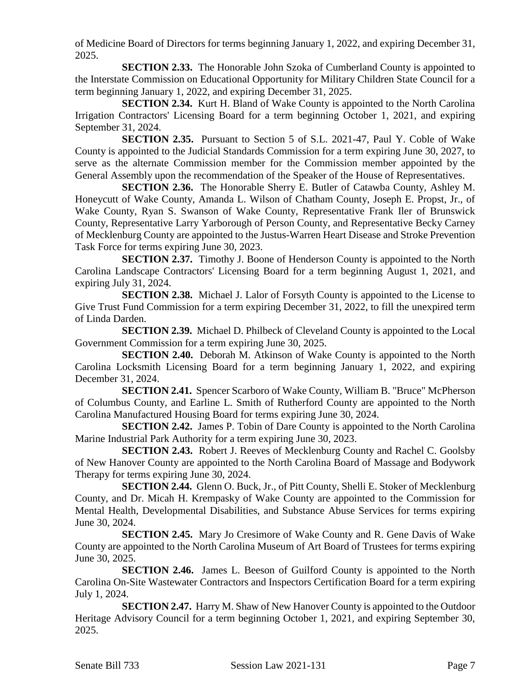of Medicine Board of Directors for terms beginning January 1, 2022, and expiring December 31, 2025.

**SECTION 2.33.** The Honorable John Szoka of Cumberland County is appointed to the Interstate Commission on Educational Opportunity for Military Children State Council for a term beginning January 1, 2022, and expiring December 31, 2025.

**SECTION 2.34.** Kurt H. Bland of Wake County is appointed to the North Carolina Irrigation Contractors' Licensing Board for a term beginning October 1, 2021, and expiring September 31, 2024.

**SECTION 2.35.** Pursuant to Section 5 of S.L. 2021-47, Paul Y. Coble of Wake County is appointed to the Judicial Standards Commission for a term expiring June 30, 2027, to serve as the alternate Commission member for the Commission member appointed by the General Assembly upon the recommendation of the Speaker of the House of Representatives.

**SECTION 2.36.** The Honorable Sherry E. Butler of Catawba County, Ashley M. Honeycutt of Wake County, Amanda L. Wilson of Chatham County, Joseph E. Propst, Jr., of Wake County, Ryan S. Swanson of Wake County, Representative Frank Iler of Brunswick County, Representative Larry Yarborough of Person County, and Representative Becky Carney of Mecklenburg County are appointed to the Justus-Warren Heart Disease and Stroke Prevention Task Force for terms expiring June 30, 2023.

**SECTION 2.37.** Timothy J. Boone of Henderson County is appointed to the North Carolina Landscape Contractors' Licensing Board for a term beginning August 1, 2021, and expiring July 31, 2024.

**SECTION 2.38.** Michael J. Lalor of Forsyth County is appointed to the License to Give Trust Fund Commission for a term expiring December 31, 2022, to fill the unexpired term of Linda Darden.

**SECTION 2.39.** Michael D. Philbeck of Cleveland County is appointed to the Local Government Commission for a term expiring June 30, 2025.

**SECTION 2.40.** Deborah M. Atkinson of Wake County is appointed to the North Carolina Locksmith Licensing Board for a term beginning January 1, 2022, and expiring December 31, 2024.

**SECTION 2.41.** Spencer Scarboro of Wake County, William B. "Bruce" McPherson of Columbus County, and Earline L. Smith of Rutherford County are appointed to the North Carolina Manufactured Housing Board for terms expiring June 30, 2024.

**SECTION 2.42.** James P. Tobin of Dare County is appointed to the North Carolina Marine Industrial Park Authority for a term expiring June 30, 2023.

**SECTION 2.43.** Robert J. Reeves of Mecklenburg County and Rachel C. Goolsby of New Hanover County are appointed to the North Carolina Board of Massage and Bodywork Therapy for terms expiring June 30, 2024.

**SECTION 2.44.** Glenn O. Buck, Jr., of Pitt County, Shelli E. Stoker of Mecklenburg County, and Dr. Micah H. Krempasky of Wake County are appointed to the Commission for Mental Health, Developmental Disabilities, and Substance Abuse Services for terms expiring June 30, 2024.

**SECTION 2.45.** Mary Jo Cresimore of Wake County and R. Gene Davis of Wake County are appointed to the North Carolina Museum of Art Board of Trustees for terms expiring June 30, 2025.

**SECTION 2.46.** James L. Beeson of Guilford County is appointed to the North Carolina On-Site Wastewater Contractors and Inspectors Certification Board for a term expiring July 1, 2024.

**SECTION 2.47.** Harry M. Shaw of New Hanover County is appointed to the Outdoor Heritage Advisory Council for a term beginning October 1, 2021, and expiring September 30, 2025.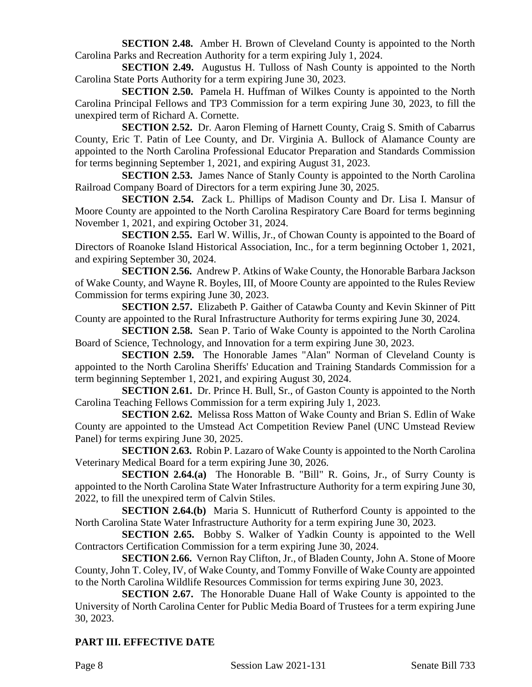**SECTION 2.48.** Amber H. Brown of Cleveland County is appointed to the North Carolina Parks and Recreation Authority for a term expiring July 1, 2024.

**SECTION 2.49.** Augustus H. Tulloss of Nash County is appointed to the North Carolina State Ports Authority for a term expiring June 30, 2023.

**SECTION 2.50.** Pamela H. Huffman of Wilkes County is appointed to the North Carolina Principal Fellows and TP3 Commission for a term expiring June 30, 2023, to fill the unexpired term of Richard A. Cornette.

**SECTION 2.52.** Dr. Aaron Fleming of Harnett County, Craig S. Smith of Cabarrus County, Eric T. Patin of Lee County, and Dr. Virginia A. Bullock of Alamance County are appointed to the North Carolina Professional Educator Preparation and Standards Commission for terms beginning September 1, 2021, and expiring August 31, 2023.

**SECTION 2.53.** James Nance of Stanly County is appointed to the North Carolina Railroad Company Board of Directors for a term expiring June 30, 2025.

**SECTION 2.54.** Zack L. Phillips of Madison County and Dr. Lisa I. Mansur of Moore County are appointed to the North Carolina Respiratory Care Board for terms beginning November 1, 2021, and expiring October 31, 2024.

**SECTION 2.55.** Earl W. Willis, Jr., of Chowan County is appointed to the Board of Directors of Roanoke Island Historical Association, Inc., for a term beginning October 1, 2021, and expiring September 30, 2024.

**SECTION 2.56.** Andrew P. Atkins of Wake County, the Honorable Barbara Jackson of Wake County, and Wayne R. Boyles, III, of Moore County are appointed to the Rules Review Commission for terms expiring June 30, 2023.

**SECTION 2.57.** Elizabeth P. Gaither of Catawba County and Kevin Skinner of Pitt County are appointed to the Rural Infrastructure Authority for terms expiring June 30, 2024.

**SECTION 2.58.** Sean P. Tario of Wake County is appointed to the North Carolina Board of Science, Technology, and Innovation for a term expiring June 30, 2023.

**SECTION 2.59.** The Honorable James "Alan" Norman of Cleveland County is appointed to the North Carolina Sheriffs' Education and Training Standards Commission for a term beginning September 1, 2021, and expiring August 30, 2024.

**SECTION 2.61.** Dr. Prince H. Bull, Sr., of Gaston County is appointed to the North Carolina Teaching Fellows Commission for a term expiring July 1, 2023.

**SECTION 2.62.** Melissa Ross Matton of Wake County and Brian S. Edlin of Wake County are appointed to the Umstead Act Competition Review Panel (UNC Umstead Review Panel) for terms expiring June 30, 2025.

**SECTION 2.63.** Robin P. Lazaro of Wake County is appointed to the North Carolina Veterinary Medical Board for a term expiring June 30, 2026.

**SECTION 2.64.(a)** The Honorable B. "Bill" R. Goins, Jr., of Surry County is appointed to the North Carolina State Water Infrastructure Authority for a term expiring June 30, 2022, to fill the unexpired term of Calvin Stiles.

**SECTION 2.64.(b)** Maria S. Hunnicutt of Rutherford County is appointed to the North Carolina State Water Infrastructure Authority for a term expiring June 30, 2023.

**SECTION 2.65.** Bobby S. Walker of Yadkin County is appointed to the Well Contractors Certification Commission for a term expiring June 30, 2024.

**SECTION 2.66.** Vernon Ray Clifton, Jr., of Bladen County, John A. Stone of Moore County, John T. Coley, IV, of Wake County, and Tommy Fonville of Wake County are appointed to the North Carolina Wildlife Resources Commission for terms expiring June 30, 2023.

**SECTION 2.67.** The Honorable Duane Hall of Wake County is appointed to the University of North Carolina Center for Public Media Board of Trustees for a term expiring June 30, 2023.

# **PART III. EFFECTIVE DATE**